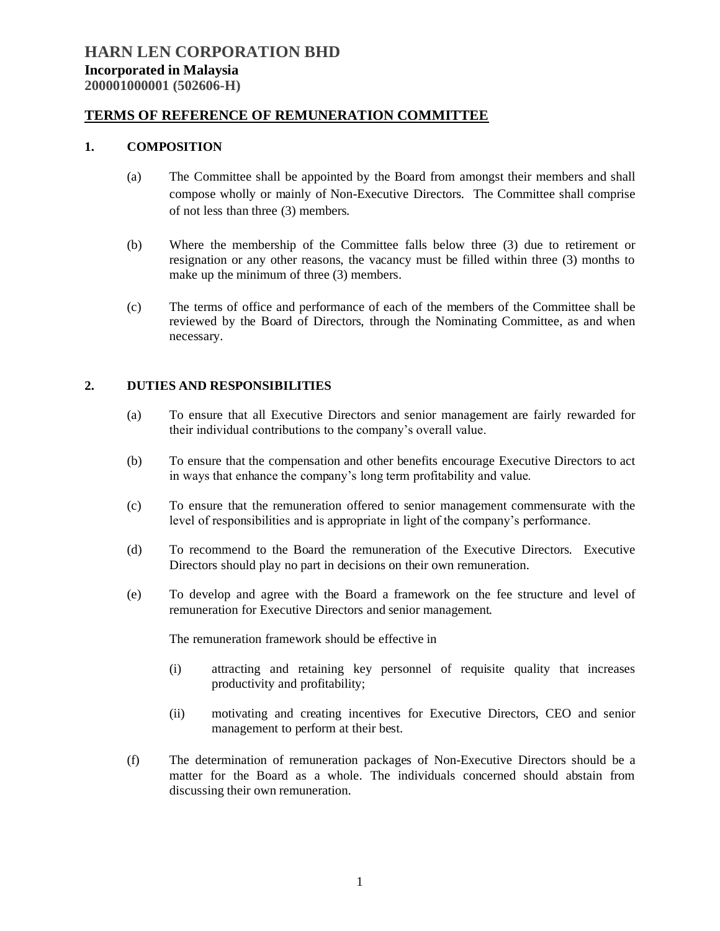### **TERMS OF REFERENCE OF REMUNERATION COMMITTEE**

#### **1. COMPOSITION**

- (a) The Committee shall be appointed by the Board from amongst their members and shall compose wholly or mainly of Non-Executive Directors. The Committee shall comprise of not less than three (3) members.
- (b) Where the membership of the Committee falls below three (3) due to retirement or resignation or any other reasons, the vacancy must be filled within three (3) months to make up the minimum of three (3) members.
- (c) The terms of office and performance of each of the members of the Committee shall be reviewed by the Board of Directors, through the Nominating Committee, as and when necessary.

### **2. DUTIES AND RESPONSIBILITIES**

- (a) To ensure that all Executive Directors and senior management are fairly rewarded for their individual contributions to the company's overall value.
- (b) To ensure that the compensation and other benefits encourage Executive Directors to act in ways that enhance the company's long term profitability and value.
- (c) To ensure that the remuneration offered to senior management commensurate with the level of responsibilities and is appropriate in light of the company's performance.
- (d) To recommend to the Board the remuneration of the Executive Directors. Executive Directors should play no part in decisions on their own remuneration.
- (e) To develop and agree with the Board a framework on the fee structure and level of remuneration for Executive Directors and senior management.

The remuneration framework should be effective in

- (i) attracting and retaining key personnel of requisite quality that increases productivity and profitability;
- (ii) motivating and creating incentives for Executive Directors, CEO and senior management to perform at their best.
- (f) The determination of remuneration packages of Non-Executive Directors should be a matter for the Board as a whole. The individuals concerned should abstain from discussing their own remuneration.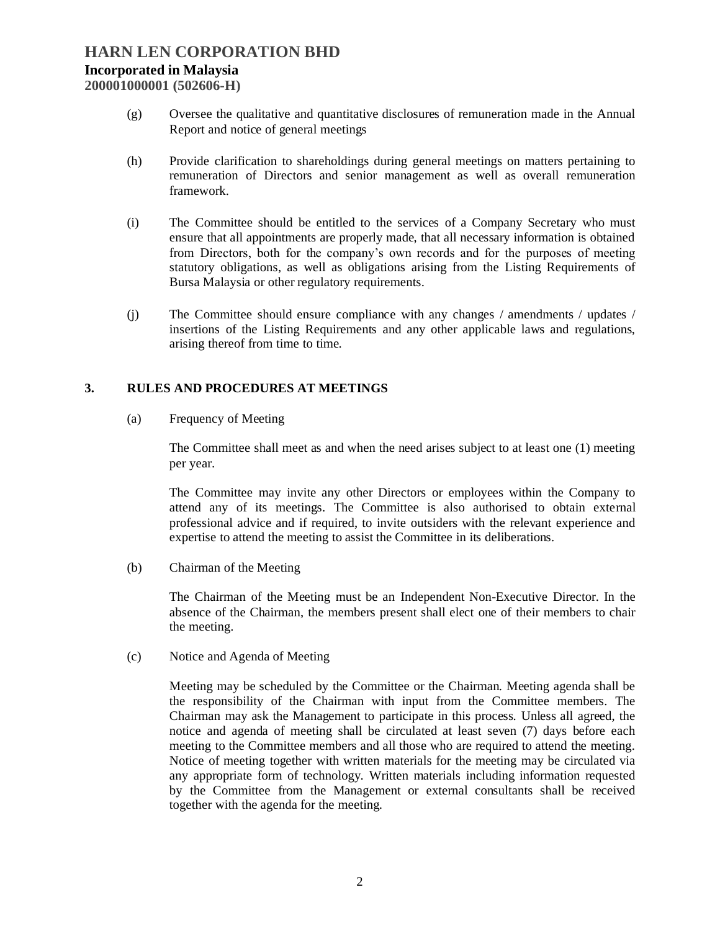# **HARN LEN CORPORATION BHD Incorporated in Malaysia 200001000001 (502606-H)**

- (g) Oversee the qualitative and quantitative disclosures of remuneration made in the Annual Report and notice of general meetings
- (h) Provide clarification to shareholdings during general meetings on matters pertaining to remuneration of Directors and senior management as well as overall remuneration framework.
- (i) The Committee should be entitled to the services of a Company Secretary who must ensure that all appointments are properly made, that all necessary information is obtained from Directors, both for the company's own records and for the purposes of meeting statutory obligations, as well as obligations arising from the Listing Requirements of Bursa Malaysia or other regulatory requirements.
- (j) The Committee should ensure compliance with any changes / amendments / updates / insertions of the Listing Requirements and any other applicable laws and regulations, arising thereof from time to time.

## **3. RULES AND PROCEDURES AT MEETINGS**

(a) Frequency of Meeting

The Committee shall meet as and when the need arises subject to at least one (1) meeting per year.

The Committee may invite any other Directors or employees within the Company to attend any of its meetings. The Committee is also authorised to obtain external professional advice and if required, to invite outsiders with the relevant experience and expertise to attend the meeting to assist the Committee in its deliberations.

(b) Chairman of the Meeting

The Chairman of the Meeting must be an Independent Non-Executive Director. In the absence of the Chairman, the members present shall elect one of their members to chair the meeting.

(c) Notice and Agenda of Meeting

Meeting may be scheduled by the Committee or the Chairman. Meeting agenda shall be the responsibility of the Chairman with input from the Committee members. The Chairman may ask the Management to participate in this process. Unless all agreed, the notice and agenda of meeting shall be circulated at least seven (7) days before each meeting to the Committee members and all those who are required to attend the meeting. Notice of meeting together with written materials for the meeting may be circulated via any appropriate form of technology. Written materials including information requested by the Committee from the Management or external consultants shall be received together with the agenda for the meeting.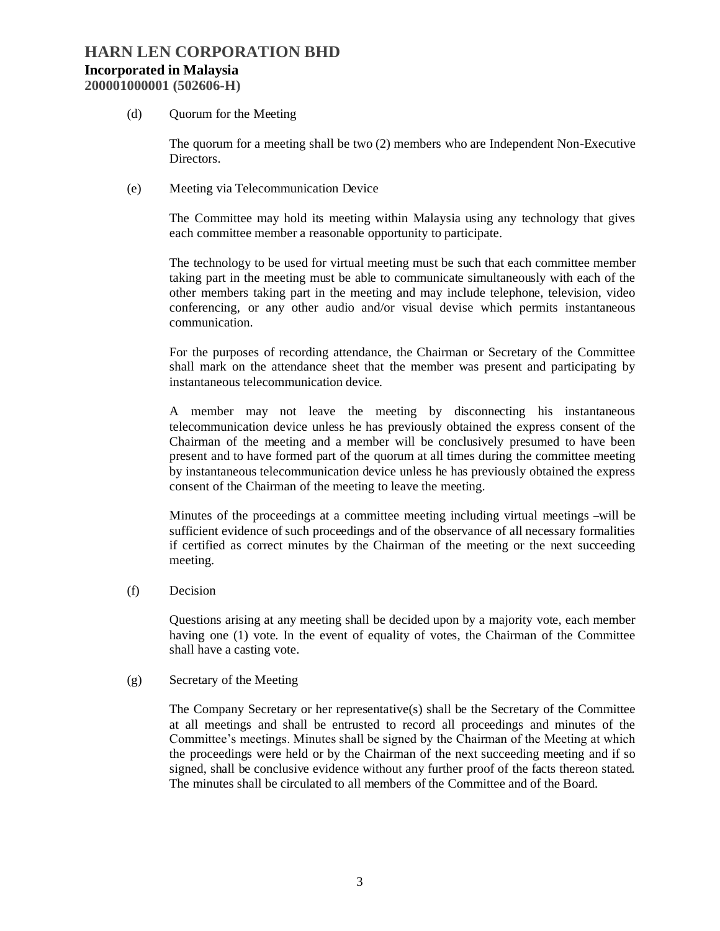(d) Quorum for the Meeting

The quorum for a meeting shall be two (2) members who are Independent Non-Executive Directors.

(e) Meeting via Telecommunication Device

The Committee may hold its meeting within Malaysia using any technology that gives each committee member a reasonable opportunity to participate.

The technology to be used for virtual meeting must be such that each committee member taking part in the meeting must be able to communicate simultaneously with each of the other members taking part in the meeting and may include telephone, television, video conferencing, or any other audio and/or visual devise which permits instantaneous communication.

For the purposes of recording attendance, the Chairman or Secretary of the Committee shall mark on the attendance sheet that the member was present and participating by instantaneous telecommunication device.

A member may not leave the meeting by disconnecting his instantaneous telecommunication device unless he has previously obtained the express consent of the Chairman of the meeting and a member will be conclusively presumed to have been present and to have formed part of the quorum at all times during the committee meeting by instantaneous telecommunication device unless he has previously obtained the express consent of the Chairman of the meeting to leave the meeting.

Minutes of the proceedings at a committee meeting including virtual meetings -will be sufficient evidence of such proceedings and of the observance of all necessary formalities if certified as correct minutes by the Chairman of the meeting or the next succeeding meeting.

(f) Decision

Questions arising at any meeting shall be decided upon by a majority vote, each member having one (1) vote. In the event of equality of votes, the Chairman of the Committee shall have a casting vote.

(g) Secretary of the Meeting

The Company Secretary or her representative(s) shall be the Secretary of the Committee at all meetings and shall be entrusted to record all proceedings and minutes of the Committee's meetings. Minutes shall be signed by the Chairman of the Meeting at which the proceedings were held or by the Chairman of the next succeeding meeting and if so signed, shall be conclusive evidence without any further proof of the facts thereon stated. The minutes shall be circulated to all members of the Committee and of the Board.